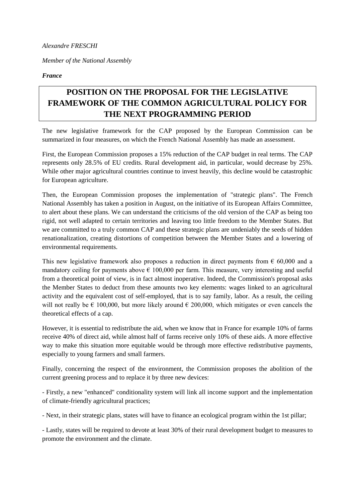*Alexandre FRESCHI* 

*Member of the National Assembly* 

*France* 

## **POSITION ON THE PROPOSAL FOR THE LEGISLATIVE FRAMEWORK OF THE COMMON AGRICULTURAL POLICY FOR THE NEXT PROGRAMMING PERIOD**

The new legislative framework for the CAP proposed by the European Commission can be summarized in four measures, on which the French National Assembly has made an assessment.

First, the European Commission proposes a 15% reduction of the CAP budget in real terms. The CAP represents only 28.5% of EU credits. Rural development aid, in particular, would decrease by 25%. While other major agricultural countries continue to invest heavily, this decline would be catastrophic for European agriculture.

Then, the European Commission proposes the implementation of "strategic plans". The French National Assembly has taken a position in August, on the initiative of its European Affairs Committee, to alert about these plans. We can understand the criticisms of the old version of the CAP as being too rigid, not well adapted to certain territories and leaving too little freedom to the Member States. But we are committed to a truly common CAP and these strategic plans are undeniably the seeds of hidden renationalization, creating distortions of competition between the Member States and a lowering of environmental requirements.

This new legislative framework also proposes a reduction in direct payments from  $\epsilon$  60,000 and a mandatory ceiling for payments above  $\epsilon$  100,000 per farm. This measure, very interesting and useful from a theoretical point of view, is in fact almost inoperative. Indeed, the Commission's proposal asks the Member States to deduct from these amounts two key elements: wages linked to an agricultural activity and the equivalent cost of self-employed, that is to say family, labor. As a result, the ceiling will not really be  $\epsilon$  100,000, but more likely around  $\epsilon$  200,000, which mitigates or even cancels the theoretical effects of a cap.

However, it is essential to redistribute the aid, when we know that in France for example 10% of farms receive 40% of direct aid, while almost half of farms receive only 10% of these aids. A more effective way to make this situation more equitable would be through more effective redistributive payments, especially to young farmers and small farmers.

Finally, concerning the respect of the environment, the Commission proposes the abolition of the current greening process and to replace it by three new devices:

- Firstly, a new "enhanced" conditionality system will link all income support and the implementation of climate-friendly agricultural practices;

- Next, in their strategic plans, states will have to finance an ecological program within the 1st pillar;

- Lastly, states will be required to devote at least 30% of their rural development budget to measures to promote the environment and the climate.